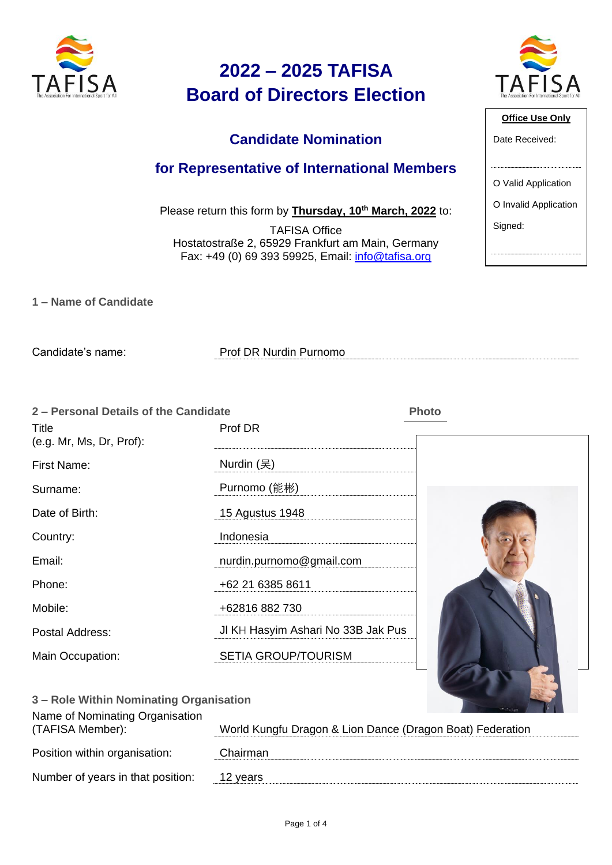

### **Candidate Nomination**

#### **for Representative of International Members**

Please return this form by **Thursday, 10th March, 2022** to:

TAFISA Office Hostatostraße 2, 65929 Frankfurt am Main, Germany Fax: +49 (0) 69 393 59925, Email: [info@tafisa.org](mailto:info@tafisa.net)

| The Association For International Sport for All |
|-------------------------------------------------|
| <b>Office Use Only</b>                          |
| ata Racaivad.                                   |

| Date Received:        |
|-----------------------|
|                       |
| O Valid Application   |
| O Invalid Application |
| Signed:               |

**1 – Name of Candidate** 

Candidate's name: Prof DR Nurdin Purnomo

| 2 - Personal Details of the Candidate<br>Title<br>(e.g. Mr, Ms, Dr, Prof): | Prof DR                            | <b>Photo</b> |
|----------------------------------------------------------------------------|------------------------------------|--------------|
| First Name:                                                                | Nurdin $($ 吴)                      |              |
| Surname:                                                                   | Purnomo (能彬)                       |              |
| Date of Birth:                                                             | 15 Agustus 1948                    |              |
| Country:                                                                   | Indonesia                          |              |
| Email:                                                                     | nurdin.purnomo@gmail.com           |              |
| Phone:                                                                     | +62 21 6385 8611                   |              |
| Mobile:                                                                    | +62816 882 730                     |              |
| Postal Address:                                                            | JI KH Hasyim Ashari No 33B Jak Pus |              |
| Main Occupation:                                                           | <b>SETIA GROUP/TOURISM</b>         |              |

| 3 - Role Within Nominating Organisation             |                                                           |
|-----------------------------------------------------|-----------------------------------------------------------|
| Name of Nominating Organisation<br>(TAFISA Member): | World Kungfu Dragon & Lion Dance (Dragon Boat) Federation |
| Position within organisation:                       | Chairman                                                  |
| Number of years in that position:                   | 12 years                                                  |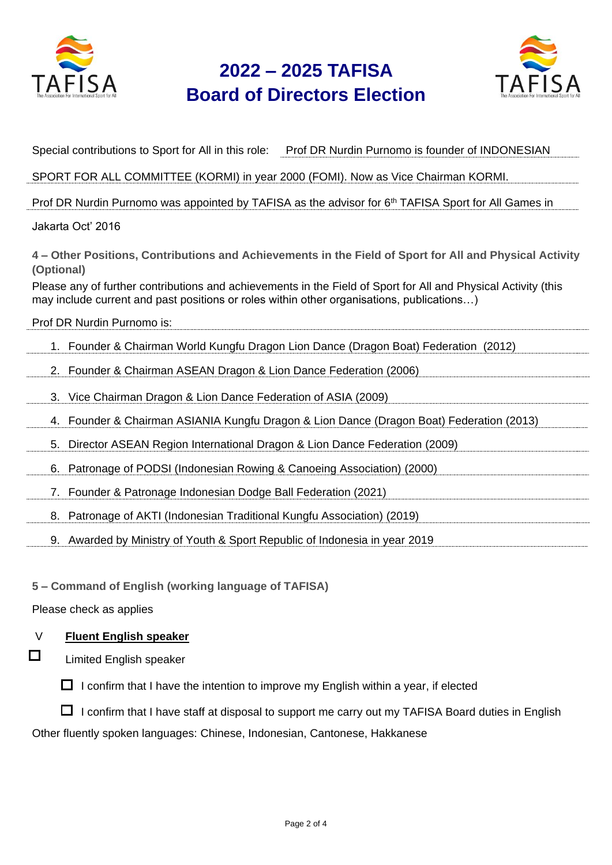



| Special contributions to Sport for All in this role: Prof DR Nurdin Purnomo is founder of INDONESIAN                                                                                                                                    |
|-----------------------------------------------------------------------------------------------------------------------------------------------------------------------------------------------------------------------------------------|
| SPORT FOR ALL COMMITTEE (KORMI) in year 2000 (FOMI). Now as Vice Chairman KORMI.                                                                                                                                                        |
| Prof DR Nurdin Purnomo was appointed by TAFISA as the advisor for 6 <sup>th</sup> TAFISA Sport for All Games in                                                                                                                         |
| Jakarta Oct' 2016                                                                                                                                                                                                                       |
| 4 – Other Positions, Contributions and Achievements in the Field of Sport for All and Physical Activity<br>(Optional)<br>Please any of further contributions and achievements in the Field of Sport for All and Physical Activity (this |
| may include current and past positions or roles within other organisations, publications)                                                                                                                                               |
| Prof DR Nurdin Purnomo is:                                                                                                                                                                                                              |
| 1. Founder & Chairman World Kungfu Dragon Lion Dance (Dragon Boat) Federation (2012)                                                                                                                                                    |
| 2. Founder & Chairman ASEAN Dragon & Lion Dance Federation (2006)                                                                                                                                                                       |
| 3. Vice Chairman Dragon & Lion Dance Federation of ASIA (2009)                                                                                                                                                                          |
| 4. Founder & Chairman ASIANIA Kungfu Dragon & Lion Dance (Dragon Boat) Federation (2013)                                                                                                                                                |
| Director ASEAN Region International Dragon & Lion Dance Federation (2009)<br>5.                                                                                                                                                         |
| Patronage of PODSI (Indonesian Rowing & Canoeing Association) (2000)<br>6.                                                                                                                                                              |
| 7. Founder & Patronage Indonesian Dodge Ball Federation (2021)                                                                                                                                                                          |
| 8. Patronage of AKTI (Indonesian Traditional Kungfu Association) (2019)                                                                                                                                                                 |
| 9. Awarded by Ministry of Youth & Sport Republic of Indonesia in year 2019                                                                                                                                                              |
|                                                                                                                                                                                                                                         |
| 5 – Command of English (working language of TAFISA)                                                                                                                                                                                     |
| Please check as applies                                                                                                                                                                                                                 |
| <b>Fluent English speaker</b><br>V                                                                                                                                                                                                      |
| $\Box$<br><b>Limited English speaker</b>                                                                                                                                                                                                |
| I confirm that I have the intention to improve my English within a year, if elected<br>ப                                                                                                                                                |
| I confirm that I have staff at disposal to support me carry out my TAFISA Board duties in English                                                                                                                                       |

Other fluently spoken languages: Chinese, Indonesian, Cantonese, Hakkanese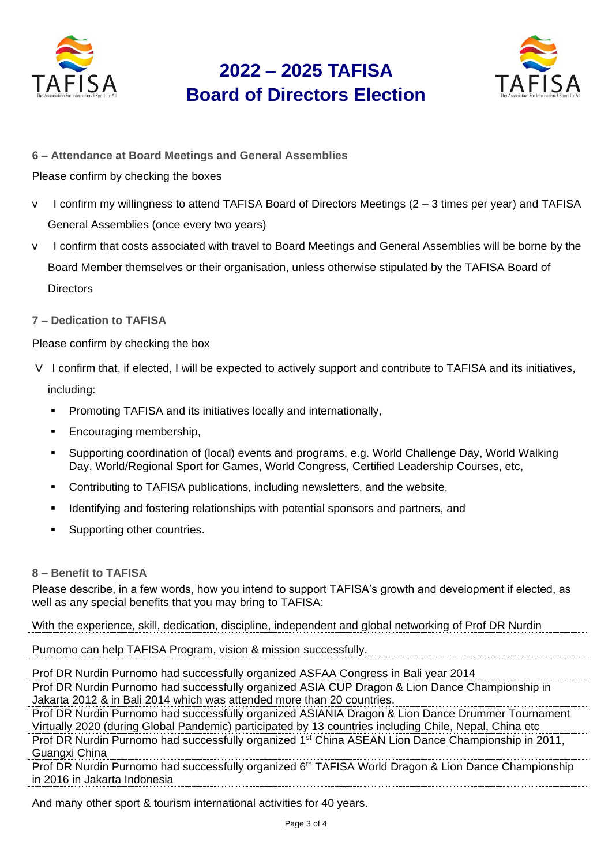



**6 – Attendance at Board Meetings and General Assemblies**

Please confirm by checking the boxes

- v I confirm my willingness to attend TAFISA Board of Directors Meetings (2 3 times per year) and TAFISA General Assemblies (once every two years)
- v I confirm that costs associated with travel to Board Meetings and General Assemblies will be borne by the Board Member themselves or their organisation, unless otherwise stipulated by the TAFISA Board of **Directors**
- **7 – Dedication to TAFISA**

Please confirm by checking the box

- V I confirm that, if elected, I will be expected to actively support and contribute to TAFISA and its initiatives, including:
	- Promoting TAFISA and its initiatives locally and internationally,
	- Encouraging membership,
	- Supporting coordination of (local) events and programs, e.g. World Challenge Day, World Walking Day, World/Regional Sport for Games, World Congress, Certified Leadership Courses, etc,
	- Contributing to TAFISA publications, including newsletters, and the website,
	- Identifying and fostering relationships with potential sponsors and partners, and
	- Supporting other countries.

#### **8 – Benefit to TAFISA**

Please describe, in a few words, how you intend to support TAFISA's growth and development if elected, as well as any special benefits that you may bring to TAFISA:

With the experience, skill, dedication, discipline, independent and global networking of Prof DR Nurdin

Purnomo can help TAFISA Program, vision & mission successfully.

Prof DR Nurdin Purnomo had successfully organized ASFAA Congress in Bali year 2014 Prof DR Nurdin Purnomo had successfully organized ASIA CUP Dragon & Lion Dance Championship in

Jakarta 2012 & in Bali 2014 which was attended more than 20 countries.

Prof DR Nurdin Purnomo had successfully organized ASIANIA Dragon & Lion Dance Drummer Tournament Virtually 2020 (during Global Pandemic) participated by 13 countries including Chile, Nepal, China etc

Prof DR Nurdin Purnomo had successfully organized 1<sup>st</sup> China ASEAN Lion Dance Championship in 2011, Guangxi China

Prof DR Nurdin Purnomo had successfully organized 6<sup>th</sup> TAFISA World Dragon & Lion Dance Championship in 2016 in Jakarta Indonesia

And many other sport & tourism international activities for 40 years.